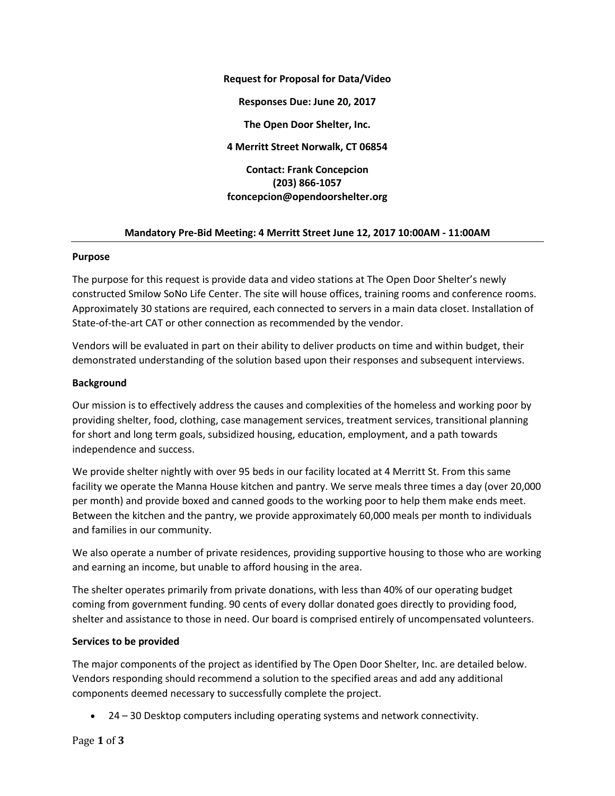**Request for Proposal for Data/Video Responses Due: June 20, 2017 The Open Door Shelter, Inc. 4 Merritt Street Norwalk, CT 06854 Contact: Frank Concepcion (203) 866-1057 fconcepcion@opendoorshelter.org**

## **Mandatory Pre-Bid Meeting: 4 Merritt Street June 12, 2017 10:00AM - 11:00AM**

#### **Purpose**

The purpose for this request is provide data and video stations at The Open Door Shelter's newly constructed Smilow SoNo Life Center. The site will house offices, training rooms and conference rooms. Approximately 30 stations are required, each connected to servers in a main data closet. Installation of State-of-the-art CAT or other connection as recommended by the vendor.

Vendors will be evaluated in part on their ability to deliver products on time and within budget, their demonstrated understanding of the solution based upon their responses and subsequent interviews.

## **Background**

Our mission is to effectively address the causes and complexities of the homeless and working poor by providing shelter, food, clothing, case management services, treatment services, transitional planning for short and long term goals, subsidized housing, education, employment, and a path towards independence and success.

We provide shelter nightly with over 95 beds in our facility located at 4 Merritt St. From this same facility we operate the Manna House kitchen and pantry. We serve meals three times a day (over 20,000 per month) and provide boxed and canned goods to the working poor to help them make ends meet. Between the kitchen and the pantry, we provide approximately 60,000 meals per month to individuals and families in our community.

We also operate a number of private residences, providing supportive housing to those who are working and earning an income, but unable to afford housing in the area.

The shelter operates primarily from private donations, with less than 40% of our operating budget coming from government funding. 90 cents of every dollar donated goes directly to providing food, shelter and assistance to those in need. Our board is comprised entirely of uncompensated volunteers.

## **Services to be provided**

The major components of the project as identified by The Open Door Shelter, Inc. are detailed below. Vendors responding should recommend a solution to the specified areas and add any additional components deemed necessary to successfully complete the project.

24 – 30 Desktop computers including operating systems and network connectivity.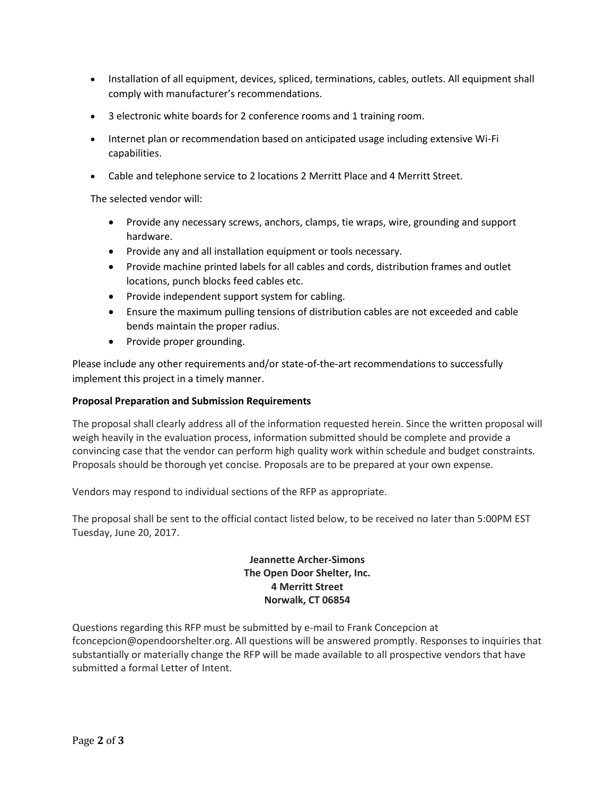- Installation of all equipment, devices, spliced, terminations, cables, outlets. All equipment shall comply with manufacturer's recommendations.
- 3 electronic white boards for 2 conference rooms and 1 training room.
- Internet plan or recommendation based on anticipated usage including extensive Wi-Fi capabilities.
- Cable and telephone service to 2 locations 2 Merritt Place and 4 Merritt Street.

The selected vendor will:

- Provide any necessary screws, anchors, clamps, tie wraps, wire, grounding and support hardware.
- Provide any and all installation equipment or tools necessary.
- Provide machine printed labels for all cables and cords, distribution frames and outlet locations, punch blocks feed cables etc.
- Provide independent support system for cabling.
- Ensure the maximum pulling tensions of distribution cables are not exceeded and cable bends maintain the proper radius.
- Provide proper grounding.

Please include any other requirements and/or state-of-the-art recommendations to successfully implement this project in a timely manner.

## **Proposal Preparation and Submission Requirements**

The proposal shall clearly address all of the information requested herein. Since the written proposal will weigh heavily in the evaluation process, information submitted should be complete and provide a convincing case that the vendor can perform high quality work within schedule and budget constraints. Proposals should be thorough yet concise. Proposals are to be prepared at your own expense.

Vendors may respond to individual sections of the RFP as appropriate.

The proposal shall be sent to the official contact listed below, to be received no later than 5:00PM EST Tuesday, June 20, 2017.

# **Jeannette Archer-Simons The Open Door Shelter, Inc. 4 Merritt Street Norwalk, CT 06854**

Questions regarding this RFP must be submitted by e-mail to Frank Concepcion at [fconcepcion@opendoorshelter.org.](mailto:fconcepcion@opendoorshelter.org) All questions will be answered promptly. Responses to inquiries that substantially or materially change the RFP will be made available to all prospective vendors that have submitted a formal Letter of Intent.